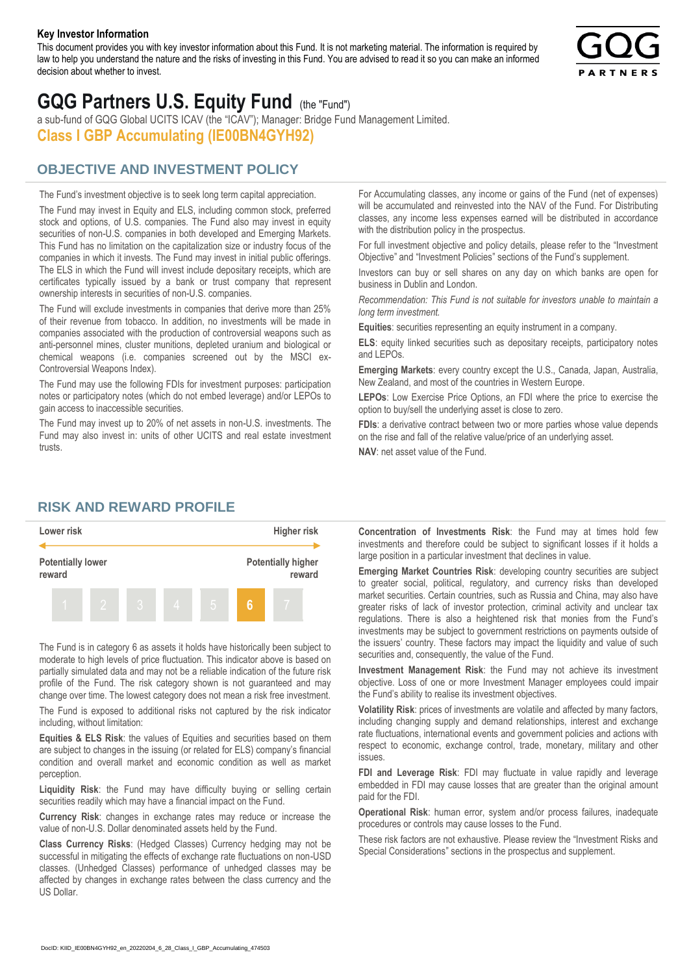#### **Key Investor Information**

This document provides you with key investor information about this Fund. It is not marketing material. The information is required by law to help you understand the nature and the risks of investing in this Fund. You are advised to read it so you can make an informed decision about whether to invest.



# **GQG Partners U.S. Equity Fund** (the "Fund")

a sub-fund of GQG Global UCITS ICAV (the "ICAV"); Manager: Bridge Fund Management Limited. **Class I GBP Accumulating (IE00BN4GYH92)**

## **OBJECTIVE AND INVESTMENT POLICY**

The Fund's investment objective is to seek long term capital appreciation. The Fund may invest in Equity and ELS, including common stock, preferred stock and options, of U.S. companies. The Fund also may invest in equity securities of non-U.S. companies in both developed and Emerging Markets. This Fund has no limitation on the capitalization size or industry focus of the companies in which it invests. The Fund may invest in initial public offerings. The ELS in which the Fund will invest include depositary receipts, which are certificates typically issued by a bank or trust company that represent ownership interests in securities of non-U.S. companies.

The Fund will exclude investments in companies that derive more than 25% of their revenue from tobacco. In addition, no investments will be made in companies associated with the production of controversial weapons such as anti-personnel mines, cluster munitions, depleted uranium and biological or chemical weapons (i.e. companies screened out by the MSCI ex-Controversial Weapons Index).

The Fund may use the following FDIs for investment purposes: participation notes or participatory notes (which do not embed leverage) and/or LEPOs to gain access to inaccessible securities.

The Fund may invest up to 20% of net assets in non-U.S. investments. The Fund may also invest in: units of other UCITS and real estate investment trusts.

For Accumulating classes, any income or gains of the Fund (net of expenses) will be accumulated and reinvested into the NAV of the Fund. For Distributing classes, any income less expenses earned will be distributed in accordance with the distribution policy in the prospectus.

For full investment objective and policy details, please refer to the "Investment Objective" and "Investment Policies" sections of the Fund's supplement.

Investors can buy or sell shares on any day on which banks are open for business in Dublin and London.

*Recommendation: This Fund is not suitable for investors unable to maintain a long term investment.*

**Equities**: securities representing an equity instrument in a company.

**ELS**: equity linked securities such as depositary receipts, participatory notes and LEPOs.

**Emerging Markets**: every country except the U.S., Canada, Japan, Australia, New Zealand, and most of the countries in Western Europe.

**LEPOs**: Low Exercise Price Options, an FDI where the price to exercise the option to buy/sell the underlying asset is close to zero.

**FDIs**: a derivative contract between two or more parties whose value depends on the rise and fall of the relative value/price of an underlying asset.

**NAV**: net asset value of the Fund.

#### **RISK AND REWARD PROFILE**



The Fund is in category 6 as assets it holds have historically been subject to moderate to high levels of price fluctuation. This indicator above is based on partially simulated data and may not be a reliable indication of the future risk profile of the Fund. The risk category shown is not guaranteed and may change over time. The lowest category does not mean a risk free investment.

The Fund is exposed to additional risks not captured by the risk indicator including, without limitation:

**Equities & ELS Risk**: the values of Equities and securities based on them are subject to changes in the issuing (or related for ELS) company's financial condition and overall market and economic condition as well as market perception.

**Liquidity Risk**: the Fund may have difficulty buying or selling certain securities readily which may have a financial impact on the Fund.

**Currency Risk**: changes in exchange rates may reduce or increase the value of non-U.S. Dollar denominated assets held by the Fund.

**Class Currency Risks**: (Hedged Classes) Currency hedging may not be successful in mitigating the effects of exchange rate fluctuations on non-USD classes. (Unhedged Classes) performance of unhedged classes may be affected by changes in exchange rates between the class currency and the US Dollar.

**Concentration of Investments Risk**: the Fund may at times hold few investments and therefore could be subject to significant losses if it holds a large position in a particular investment that declines in value.

**Emerging Market Countries Risk**: developing country securities are subject to greater social, political, regulatory, and currency risks than developed market securities. Certain countries, such as Russia and China, may also have greater risks of lack of investor protection, criminal activity and unclear tax regulations. There is also a heightened risk that monies from the Fund's investments may be subject to government restrictions on payments outside of the issuers' country. These factors may impact the liquidity and value of such securities and, consequently, the value of the Fund.

**Investment Management Risk**: the Fund may not achieve its investment objective. Loss of one or more Investment Manager employees could impair the Fund's ability to realise its investment objectives.

**Volatility Risk**: prices of investments are volatile and affected by many factors, including changing supply and demand relationships, interest and exchange rate fluctuations, international events and government policies and actions with respect to economic, exchange control, trade, monetary, military and other issues.

**FDI and Leverage Risk**: FDI may fluctuate in value rapidly and leverage embedded in FDI may cause losses that are greater than the original amount paid for the FDI.

**Operational Risk**: human error, system and/or process failures, inadequate procedures or controls may cause losses to the Fund.

These risk factors are not exhaustive. Please review the "Investment Risks and Special Considerations" sections in the prospectus and supplement.